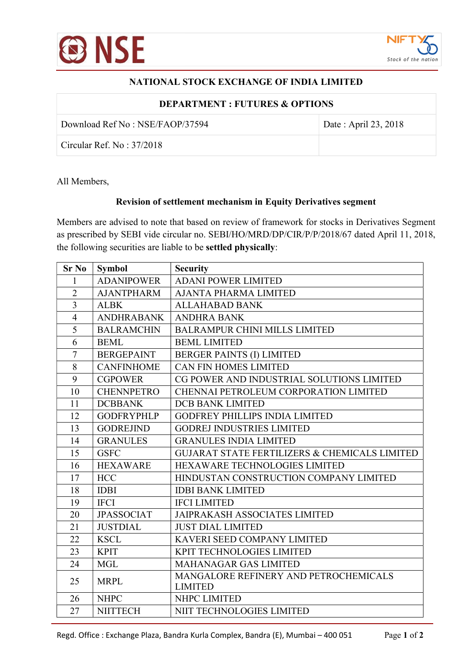

## NATIONAL STOCK EXCHANGE OF INDIA LIMITED

| <b>DEPARTMENT: FUTURES &amp; OPTIONS</b> |                      |  |
|------------------------------------------|----------------------|--|
| Download Ref No: NSE/FAOP/37594          | Date: April 23, 2018 |  |
| $\vert$ Circular Ref. No: 37/2018        |                      |  |

All Members,

## Revision of settlement mechanism in Equity Derivatives segment

Members are advised to note that based on review of framework for stocks in Derivatives Segment as prescribed by SEBI vide circular no. SEBI/HO/MRD/DP/CIR/P/P/2018/67 dated April 11, 2018, the following securities are liable to be settled physically:

| <b>Sr No</b>   | <b>Symbol</b>     | <b>Security</b>                                          |
|----------------|-------------------|----------------------------------------------------------|
| 1              | <b>ADANIPOWER</b> | <b>ADANI POWER LIMITED</b>                               |
| $\overline{2}$ | <b>AJANTPHARM</b> | <b>AJANTA PHARMA LIMITED</b>                             |
| $\overline{3}$ | <b>ALBK</b>       | <b>ALLAHABAD BANK</b>                                    |
| $\overline{4}$ | <b>ANDHRABANK</b> | <b>ANDHRA BANK</b>                                       |
| 5              | <b>BALRAMCHIN</b> | <b>BALRAMPUR CHINI MILLS LIMITED</b>                     |
| 6              | <b>BEML</b>       | <b>BEML LIMITED</b>                                      |
| $\overline{7}$ | <b>BERGEPAINT</b> | <b>BERGER PAINTS (I) LIMITED</b>                         |
| 8              | <b>CANFINHOME</b> | <b>CAN FIN HOMES LIMITED</b>                             |
| 9              | <b>CGPOWER</b>    | CG POWER AND INDUSTRIAL SOLUTIONS LIMITED                |
| 10             | <b>CHENNPETRO</b> | CHENNAI PETROLEUM CORPORATION LIMITED                    |
| 11             | <b>DCBBANK</b>    | <b>DCB BANK LIMITED</b>                                  |
| 12             | <b>GODFRYPHLP</b> | <b>GODFREY PHILLIPS INDIA LIMITED</b>                    |
| 13             | <b>GODREJIND</b>  | <b>GODREJ INDUSTRIES LIMITED</b>                         |
| 14             | <b>GRANULES</b>   | <b>GRANULES INDIA LIMITED</b>                            |
| 15             | <b>GSFC</b>       | <b>GUJARAT STATE FERTILIZERS &amp; CHEMICALS LIMITED</b> |
| 16             | <b>HEXAWARE</b>   | HEXAWARE TECHNOLOGIES LIMITED                            |
| 17             | <b>HCC</b>        | HINDUSTAN CONSTRUCTION COMPANY LIMITED                   |
| 18             | <b>IDBI</b>       | <b>IDBI BANK LIMITED</b>                                 |
| 19             | <b>IFCI</b>       | <b>IFCI LIMITED</b>                                      |
| 20             | <b>JPASSOCIAT</b> | <b>JAIPRAKASH ASSOCIATES LIMITED</b>                     |
| 21             | <b>JUSTDIAL</b>   | <b>JUST DIAL LIMITED</b>                                 |
| 22             | <b>KSCL</b>       | KAVERI SEED COMPANY LIMITED                              |
| 23             | <b>KPIT</b>       | KPIT TECHNOLOGIES LIMITED                                |
| 24             | <b>MGL</b>        | <b>MAHANAGAR GAS LIMITED</b>                             |
| 25             | <b>MRPL</b>       | MANGALORE REFINERY AND PETROCHEMICALS                    |
|                |                   | <b>LIMITED</b>                                           |
| 26             | <b>NHPC</b>       | NHPC LIMITED                                             |
| 27             | <b>NIITTECH</b>   | NIIT TECHNOLOGIES LIMITED                                |